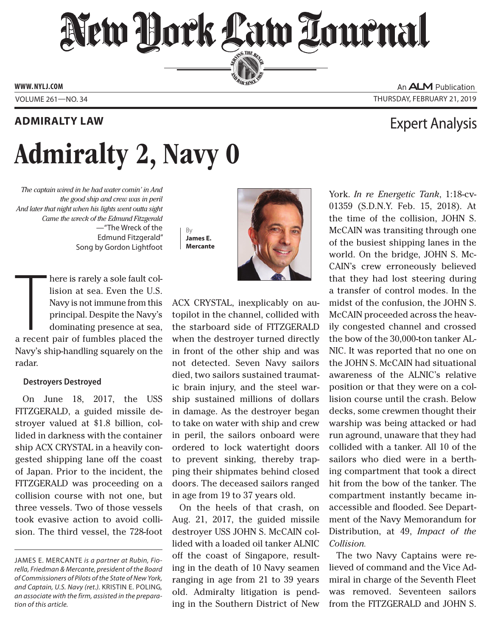## New Hork Law Lournal SERVING THE BEN

**ED BAR SINCE 188** 

**www. NYLJ.com**

#### **Admiralty Law**

# Admiralty 2, Navy 0

*The captain wired in he had water comin' in And the good ship and crew was in peril And later that night when his lights went outta sight Came the wreck of the Edmund Fitzgerald* —"The Wreck of the Edmund Fitzgerald" Song by Gordon Lightfoot

By **James E. Mercante**



here is rarely a sole fault collision at sea. Even the U.S.<br>Navy is not immune from this<br>principal. Despite the Navy's<br>dominating presence at sea,<br>a recent pair of fumbles placed the here is rarely a sole fault collision at sea. Even the U.S. Navy is not immune from this principal. Despite the Navy's dominating presence at sea, Navy's ship-handling squarely on the radar.

#### **Destroyers Destroyed**

On June 18, 2017, the USS FITZGERALD, a guided missile destroyer valued at \$1.8 billion, collided in darkness with the container ship ACX CRYSTAL in a heavily congested shipping lane off the coast of Japan. Prior to the incident, the FITZGERALD was proceeding on a collision course with not one, but three vessels. Two of those vessels took evasive action to avoid collision. The third vessel, the 728-foot ACX CRYSTAL, inexplicably on autopilot in the channel, collided with the starboard side of FITZGERALD when the destroyer turned directly in front of the other ship and was not detected. Seven Navy sailors died, two sailors sustained traumatic brain injury, and the steel warship sustained millions of dollars in damage. As the destroyer began to take on water with ship and crew in peril, the sailors onboard were ordered to lock watertight doors to prevent sinking, thereby trapping their shipmates behind closed doors. The deceased sailors ranged in age from 19 to 37 years old.

On the heels of that crash, on Aug. 21, 2017, the guided missile destroyer USS JOHN S. McCAIN collided with a loaded oil tanker ALNIC off the coast of Singapore, resulting in the death of 10 Navy seamen ranging in age from 21 to 39 years old. Admiralty litigation is pending in the Southern District of New

An **ALM** Publication Volume 261—NO. 34 Thursday, February 21, 2019

### Expert Analysis

York. *In re Energetic Tank*, 1:18-cv-01359 (S.D.N.Y. Feb. 15, 2018). At the time of the collision, JOHN S. McCAIN was transiting through one of the busiest shipping lanes in the world. On the bridge, JOHN S. Mc-CAIN's crew erroneously believed that they had lost steering during a transfer of control modes. In the midst of the confusion, the JOHN S. McCAIN proceeded across the heavily congested channel and crossed the bow of the 30,000-ton tanker AL-NIC. It was reported that no one on the JOHN S. McCAIN had situational awareness of the ALNIC's relative position or that they were on a collision course until the crash. Below decks, some crewmen thought their warship was being attacked or had run aground, unaware that they had collided with a tanker. All 10 of the sailors who died were in a berthing compartment that took a direct hit from the bow of the tanker. The compartment instantly became inaccessible and flooded. See Department of the Navy Memorandum for Distribution, at 49, *Impact of the Collision.* 

The two Navy Captains were relieved of command and the Vice Admiral in charge of the Seventh Fleet was removed. Seventeen sailors from the FITZGERALD and JOHN S.

James E. Mercante *is a partner at Rubin, Fiorella, Friedman & Mercante, president of the Board of Commissioners of Pilots of the State of New York, and Captain, U.S. Navy (ret.).* Kristin E. Poling*, an associate with the firm, assisted in the preparation of this article.*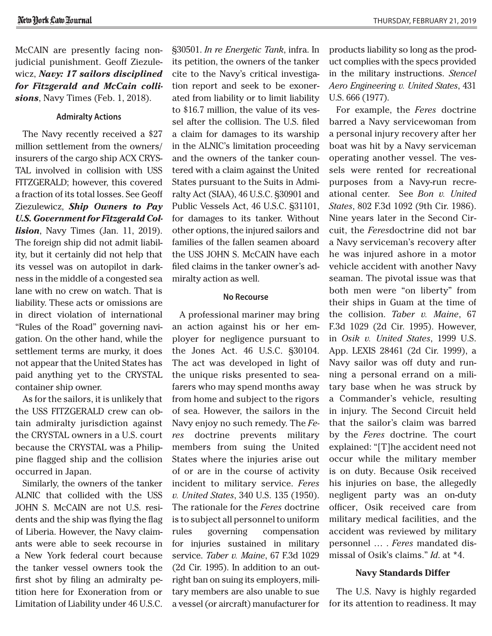McCAIN are presently facing nonjudicial punishment. Geoff Ziezulewicz, *[Navy: 17 sailors disciplined](https://www.navytimes.com/news/your-navy/2018/02/01/navy-to-reverse-guilty-verdict-for-officer-in-fitzgerald-collision/) [for Fitzgerald and McCain colli](https://www.navytimes.com/news/your-navy/2018/02/01/navy-to-reverse-guilty-verdict-for-officer-in-fitzgerald-collision/)[sions](https://www.navytimes.com/news/your-navy/2018/02/01/navy-to-reverse-guilty-verdict-for-officer-in-fitzgerald-collision/)*, Navy Times (Feb. 1, 2018).

#### **Admiralty Actions**

The Navy recently received a \$27 million settlement from the owners/ insurers of the cargo ship ACX CRYS-TAL involved in collision with USS FITZGERALD; however, this covered a fraction of its total losses. See Geoff Ziezulewicz, *[Ship Owners to Pay](https://www.navytimes.com/news/your-navy/2019/01/11/ship-owners-to-pay-us-government-for-fitzgerald-collision/) [U.S. Government for Fitzgerald Col](https://www.navytimes.com/news/your-navy/2019/01/11/ship-owners-to-pay-us-government-for-fitzgerald-collision/)[lision](https://www.navytimes.com/news/your-navy/2019/01/11/ship-owners-to-pay-us-government-for-fitzgerald-collision/)*, Navy Times (Jan. 11, 2019). The foreign ship did not admit liability, but it certainly did not help that its vessel was on autopilot in darkness in the middle of a congested sea lane with no crew on watch. That is liability. These acts or omissions are in direct violation of international "Rules of the Road" governing navigation. On the other hand, while the settlement terms are murky, it does not appear that the United States has paid anything yet to the CRYSTAL container ship owner.

As for the sailors, it is unlikely that the USS FITZGERALD crew can obtain admiralty jurisdiction against the CRYSTAL owners in a U.S. court because the CRYSTAL was a Philippine flagged ship and the collision occurred in Japan.

Similarly, the owners of the tanker ALNIC that collided with the USS JOHN S. McCAIN are not U.S. residents and the ship was flying the flag of Liberia. However, the Navy claimants were able to seek recourse in a New York federal court because the tanker vessel owners took the first shot by filing an admiralty petition here for Exoneration from or Limitation of Liability under 46 U.S.C. §30501. *In re Energetic Tank*, infra. In its petition, the owners of the tanker cite to the Navy's critical investigation report and seek to be exonerated from liability or to limit liability to \$16.7 million, the value of its vessel after the collision. The U.S. filed a claim for damages to its warship in the ALNIC's limitation proceeding and the owners of the tanker countered with a claim against the United States pursuant to the Suits in Admiralty Act (SIAA), 46 U.S.C. §30901 and Public Vessels Act, 46 U.S.C. §31101, for damages to its tanker. Without other options, the injured sailors and families of the fallen seamen aboard the USS JOHN S. McCAIN have each filed claims in the tanker owner's admiralty action as well.

#### **No Recourse**

A professional mariner may bring an action against his or her employer for negligence pursuant to the Jones Act. 46 U.S.C. §30104. The act was developed in light of the unique risks presented to seafarers who may spend months away from home and subject to the rigors of sea. However, the sailors in the Navy enjoy no such remedy. The *Feres* doctrine prevents military members from suing the United States where the injuries arise out of or are in the course of activity incident to military service. *Feres v. United States*, 340 U.S. 135 (1950). The rationale for the *Feres* doctrine is to subject all personnel to uniform rules governing compensation for injuries sustained in military service. *Taber v. Maine*, 67 F.3d 1029 (2d Cir. 1995). In addition to an outright ban on suing its employers, military members are also unable to sue a vessel (or aircraft) manufacturer for products liability so long as the product complies with the specs provided in the military instructions. *Stencel Aero Engineering v. United States*, 431 U.S. 666 (1977).

For example, the *Feres*  doctrine barred a Navy servicewoman from a personal injury recovery after her boat was hit by a Navy serviceman operating another vessel. The vessels were rented for recreational purposes from a Navy-run recreational center. See *Bon v. United States*, 802 F.3d 1092 (9th Cir. 1986). Nine years later in the Second Circuit, the *Feres*doctrine did not bar a Navy serviceman's recovery after he was injured ashore in a motor vehicle accident with another Navy seaman. The pivotal issue was that both men were "on liberty" from their ships in Guam at the time of the collision. *Taber v. Maine*, 67 F.3d 1029 (2d Cir. 1995). However, in *Osik v. United States*, 1999 U.S. App. LEXIS 28461 (2d Cir. 1999), a Navy sailor was off duty and running a personal errand on a military base when he was struck by a Commander's vehicle, resulting in injury. The Second Circuit held that the sailor's claim was barred by the *Feres* doctrine. The court explained: "[T]he accident need not occur while the military member is on duty. Because Osik received his injuries on base, the allegedly negligent party was an on-duty officer, Osik received care from military medical facilities, and the accident was reviewed by military personnel … . *Feres* mandated dismissal of Osik's claims." *Id*. at \*4.

#### **Navy Standards Differ**

The U.S. Navy is highly regarded for its attention to readiness. It may